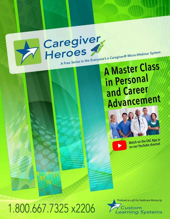

## **A Master Class** in Personal and Career Advancement



Watch on the EAC App or on our YouTube channel



Caregiver<br>Heroes

Produced as a gift for Healthcare Workers by

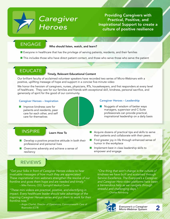

Providing Caregivers with Practical, Positive, and Inspirational Support to create a culture of positive resilience

#### **ENGAGE**

#### Who should listen, watch, and learn?

- **n** Everyone in healthcare that has the privilege of serving patients, residents, and their families
- **n** This includes those who have direct patient contact, and those who serve those who serve the patient

#### **EDUCATE**

#### Timely, Relevant Educational Content

Our brilliant faculty of acclaimed volunteer speakers have recorded two series of Micro-Webinars with a positive, uplifting message of hope and support in a concise five-minute video

We honor the heroism of caregivers, nurses, physicians, RTs, housekeepers, and first responders at every level of healthcare. They care for our families and friends with exceptional skill, kindness, personal sacrifice, and generosity of spirit for the good of our community.

#### Caregiver Heroes – Inspiration

 $\blacksquare$  Improve kindness care for patients and residents, peer care for each other, and self care for themselves

### **INSPIRE**

Learn How To

- $\blacksquare$  Develop a positive proactive attitude in both their professional and personal lives
- $\blacksquare$  Overcome adversity and achieve a sense of resiliency

#### Caregiver Heroes – Leadership

- $\blacksquare$  Nuggets of wisdom of better ways managers, supervisor and C-Suite professionals can provide practical, inspirational leadership on a daily basis
- **n** Acquire dozens of practical tips and skills to serve their patients and collaborate with their peers
- Find greater joy in life through enhanced sense of humor in the workplace
- $\blacksquare$  Implement best in class leadership skills to empower and engage

#### **REVIEWS**

*"Get your folks in front of Caregiver Heroes videos to hear invaluable messages of how much they are appreciated. These inspirational mini webinars strengthen the resolve of our frontline and gives them hope and are needed and timely." – Mike Patronis, CEO, Springhill Medical Center*

*"These mini videos are practical, positive, and electrifying in impact. Every healthcare leader should take advantage of the inspiring Caregiver Heroes series and put them to work for their frontline now."*

> *– Angie Charlet, Director of Operations, Commonwealth Care of Roanooke (CCR) Everyone's a Caregiver*

*"One thing that won't change is the culture of kindness we have built and sustained through Service Excellence. The Everyone's a Caregiver and Caregiver Hero video platforms have been a tremendous help as we navigate through stressful and challenging days."*

*– Charles Rehnborg*

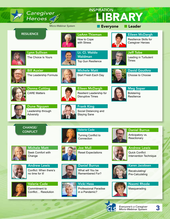| Caregiver<br>Heroes <i>◇</i>                                     | <b>INSPIRATION</b><br>LIBRARY            |                                                             |                                                                           |  |
|------------------------------------------------------------------|------------------------------------------|-------------------------------------------------------------|---------------------------------------------------------------------------|--|
|                                                                  | Micro-Webinar System                     | <b>Everyone</b>                                             | Leader                                                                    |  |
| <b>RESILIENCE</b>                                                | How to Cope<br>with Stress               | <b>LeAnn Thieman</b>                                        | <b>Eileen McDargh</b><br><b>Resilience Skills for</b><br>Caregiver Heroes |  |
| <b>Lynn Sullivan</b><br>The Choice Is Yours                      | Lt. Cl. Waldo<br>Waldman                 | <b>Top Gun Resilience</b>                                   | <b>Jeff Tobe</b><br>Leading in Turbulent<br><b>Times</b>                  |  |
| <b>Bill Auxier</b><br>The Leadership Formula                     | <b>Michele Matt</b>                      | Start Fresh Each Day                                        | <b>David Gouthro</b><br>Choose to Choose                                  |  |
| Donna Cutting<br><b>CARE Matters</b>                             | <b>Disruptive Times</b>                  | <b>Eileen McDargh</b><br>Resilient Leadership for           | <b>Meg Soper</b><br><b>Bolstering</b><br>Resilience                       |  |
| <b>Dune Nguyen</b><br>Leadership through<br>Adversity            | <b>Frank King</b><br><b>Staying Sane</b> | Social Distancing and                                       |                                                                           |  |
| <b>CHANGE/</b>                                                   | <b>Valerie Cade</b>                      |                                                             | <b>Daniel Burrus</b>                                                      |  |
| <b>CONFLICT</b>                                                  | Connection                               | <b>Turning Conflict to</b>                                  | Anticipatory vs.<br>Reactionary                                           |  |
| <b>Michele Matt</b><br>Seek Comfort with<br>Change               | <b>Joe Mull</b>                          | <b>Reset Expectations</b>                                   | <b>Andrew Lewis</b><br><b>Quick Conflict</b><br>Intervention Technique    |  |
| <b>Andrew Lewis</b><br>Conflict: When there's<br>no time for it! |                                          | <b>Daniel Burrus</b><br>What will You be<br>Remembered For? | Karen Jacobsen<br>Recalculating/<br><b>Pre-Calculating</b>                |  |
| <b>Valerie Cade</b><br>Commitment to<br>Conflict Resolution      | <b>Vicki Hess</b><br>in a Pandemic?      | <b>Professional Paradise</b>                                | <b>Naomi Rhode</b><br>Masquerading                                        |  |

 $\sigma$   $\sigma$ 

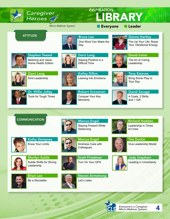

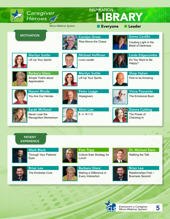| Caregiver<br>Heroes                                                   |                                   | <b>INSPIRATION</b>                            | LIBRARY                                                                    |
|-----------------------------------------------------------------------|-----------------------------------|-----------------------------------------------|----------------------------------------------------------------------------|
|                                                                       | Micro-Webinar System              | <b>Everyone</b>                               | Leader                                                                     |
| <b>MOTIVATION</b>                                                     |                                   | <b>Carolyn Gross</b><br>Rise Above the Chaos  | <b>Donna Cardillo</b><br>Creating Light in the<br><b>Midst of Darkness</b> |
| <b>Marilyn Suttle</b><br>Lift Up Your Spirits                         | Love Louder                       | <b>Michael Hoffman</b>                        | <b>Linda Edgecombe</b><br>Do You Want to Be<br>Happy?                      |
| <b>Barbara Glanz</b><br>Simple Truths about<br>Appreciation           |                                   | <b>Marilyn Suttle</b><br>Lift Up Your Spirits | <b>Shep Hyken</b><br>How to be Amazing                                     |
| <b>Naomi Rhode</b><br>You Are Our Heroes                              | Hopegivers                        | <b>Peter Legge</b>                            | <b>Vince Poscente</b><br><b>The Emotional Buzz</b>                         |
| <b>Sarah McVanel</b><br>Never Lose the<br><b>Recognition Momentum</b> | <b>Alvin Law</b><br>$E +/- R = 0$ |                                               | <b>Donna Cutting</b><br>The Power of<br>Checking In                        |
|                                                                       |                                   |                                               |                                                                            |
| <b>PATIENT</b><br><b>EXPERIENCE</b>                                   |                                   |                                               |                                                                            |



Mark Black Through Your Patients' Eyes



Brian Lee The Kindness Cure



Pam Tripp Culture Eats Strategy for Lunch

Barbara Glanz Making a Difference in Every Interaction



Dr. Michael Klein Walking the Talk



Brian Lee Relationships First – Business Second



*Everyone's a Caregiver Micro-Webinar System* 5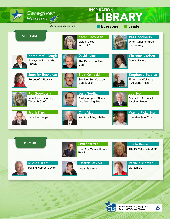| Caregiver<br>Heroes <i>≤</i> ∕                                        |                      | <b>INSPIRATION</b><br>LIBRARY                                              |                                                                                    |
|-----------------------------------------------------------------------|----------------------|----------------------------------------------------------------------------|------------------------------------------------------------------------------------|
|                                                                       | Micro-Webinar System | <b>Everyone</b>                                                            | Leader                                                                             |
| <b>SELF CARE</b>                                                      | Inner GPS            | <b>Karen Jacobsen</b><br>Listen to Your                                    | <b>Pat Goodberry</b><br>When Grief is Part of<br>our Journey                       |
| <b>Karen McCullough</b><br>4 Ways to Renew Your<br>Energy             | Care                 | <b>David Irvine</b><br>The Paradox of Self                                 | <b>Christine Cashen</b><br><b>Sanity Savers</b>                                    |
| Jennifer Buchanan<br><b>Purposeful Playlists</b>                      | Contribution         | <b>Blair Kolkoski</b><br>Service, Self-Care and                            | <b>Stephanie Staples</b><br><b>Emotional Wellness in</b><br><b>Turbulent Times</b> |
| <b>Pat Goodberry</b><br>Intentional Listening<br><b>Through Grief</b> |                      | <b>Jerry Teplitz</b><br><b>Reducing your Stress</b><br>and Sleeping Better | <b>Joe Tye</b><br>Managing Anxiety &<br>Inspiring Hope                             |
| <b>Frank King</b><br>Take the Pledge                                  |                      | <b>Clint Maun</b><br>You Absolutely Matter                                 | <b>Wayne Pickering</b><br>The Miracle of You                                       |
|                                                                       |                      |                                                                            |                                                                                    |
| <b>HUMOR</b>                                                          | <b>Break</b>         | <b>Scott Friedman</b><br>The One Minute Humor                              | <b>Sheila Brune</b><br>The Power of Laughter                                       |



Michael Kerr Putting Humor to Work



Catherin DeVrye

Hope Happens





*Everyone's a Caregiver Micro-Webinar System* 6

Patricia Morgan

Lighten Up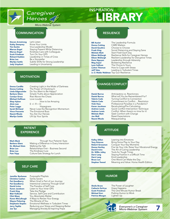# *Caregiver*<br>Heroes *A*<br>Micro-Webinar System

#### INSPIRATION

#### **COMMUNICATION**

**Steven Armstrong** Let's Listen<br> **Kathy Dempsey** Know Your

**Kathy Dempsey** Know Your Limits<br> **Tim Durkin** Viva Leadership N Viva Leadership Model Marcus Engel Staying Present While Distancing<br>
Marcus Engel Kindness Care with Colleagues **Marcus Engel** Kindness Care with Colleagues<br> **Scott Friedman** Turn On Your GPS **Scott Friedman** Turn On Your GPS<br>**Richard Hadden** Leadership in Time Richard Hadden Leadership in Times of Crisis<br> **Brian Lee** Be a Storyteller **Brian Lee** Be a Storyteller<br> **Marilyn Suttle** Subtle Shifts for **Marilyn Suttle** Subtle Shifts for Strong Leadership<br>**Jody Urquhart** Leading in Uncertainty Leading in Uncertainty

#### **MOTIVATION**

**Michael Hoffman** Love Louder<br>**Shep Hyken** Hc Alvin Law  $E +/- R = O$ <br>Peter Legge H Marilyn Suttle Lift Up Your Spirits

**Donna Cardillo** Creating Light in the Midst of Darkness<br>**Donna Cutting** The Power of Checking In **Donna Cutting** The Power of Checking In Linda Edgecombe Do You Want to Be Happy **Linda Edgecombe** Do You Want to Be Happy?<br> **Barbara Glanz** Simple Truths about Appred **Barbara Glanz** Simple Truths about Appreciation<br> **Carolyn Gross** Rise Above the Chaos **Carolyn Gross** Rise Above the Chaos<br>**Michael Hoffman** Love Louder **Shep Hyken** How to be Amazing<br>**Alvin Law**  $E + I - R = O$ Peter Legge Hopegivers<br> **Sarah McVanel** Never Lose the Recod Never Lose the Recognition Momentum **Vince Poscente** The Emotional Buzz<br> **Naomi Rhode** You Are Our Heroes You Are Our Heroes

#### RESILIENCE

Donna Cutting<br>David Gouthro

**Bill Auxier** The Leadership Formula<br>**Donna Cutting** CARE Matters **David Gouthro** Choose to Choose<br> **Frank King** Social Distancing a **Frank King** Social Distancing and Staying Sane<br> **Michele Matt** Start Fresh Each Day Michele Matt Start Fresh Each Day Eileen McDargh Resilience Skills for Caregiver Heroes Eileen McDargh Resilient Leadership for Disruptive Times **Dune Nguyen** Leadership through Adversity<br> **Meg Soper** Bolstering Resilience **Meg Soper** Bolstering Resilience<br> **Lynn Sullivan** The Choice Is Yours The Choice Is Yours **LeAnn Thieman** How to Cope with Stress<br> **Jeff Tobe** Leading in Turbulent Tim Leading in Turbulent Times Lt. Cl. Waldo Waldman Top Gun Resilience

#### CHANGE/CONFLICT

**Daniel Burrus** Anticipatory vs. Reactionary<br> **Daniel Burrus** What will You be Remember **Daniel Burrus** What will You be Remembered For?<br>**Valerie Cade** Turning Conflict to Connection Turning Conflict to Connection Valerie Cade Commitment to Conflict... Resolution<br>
Vicki Hess Professional Paradise in a Pandemic? Vicki Hess Professional Paradise in a Pandemic?<br>
Karen Jacobsen Recalculating/Pre-Calculating **Karen Jacobsen** Recalculating/Pre-Calculating<br> **Andrew Lewis** Quick Conflict Intervention Te Andrew Lewis Quick Conflict Intervention Technique<br> **Andrew Lewis** Conflict: When there's no time for it<sup>1</sup> Andrew Lewis Conflict: When there's no time for it!<br>Michale Matt Seek Comfort with Change Michele Matt Seek Comfort with Change<br> **Joe Mull** Reset Expectations **Joe Mull** Reset Expectations<br> **Naomi Rhode** Masquerading Masquerading

#### PATIENT **EXPERIENCE**

Mark Black Through Your Patients' Eyes **Barbara Glanz** Making a Difference in Every Interaction<br> **Dr. Michael Klein** Walking the Talk **Dr. Michael Klein** Walking the Talk<br>**Brian Lee** Relationships Fire Relationships First – Business Second **Brian Lee** The Kindness Cure<br> **Pam Tripp** Culture Eats Strate Culture Eats Strategy for Lunch

#### SELF CARE

Christine Cashen<br>Pat Goodberry **Frank King** Take the Pledge<br>**Blair Kolkoski** Service, Self-Care

Jennifer Buchanan Purposeful Playlists<br>Christine Cashen Sanity Savers **Pat Goodberry** When Grief is Part of our Journey<br> **Pat Goodberry** Intentional Listening Through Grie **Pat Goodberry** Intentional Listening Through Grief<br> **David Irvine** The Paradox of Self Care The Paradox of Self Care **Karen Jacobsen** Listen to Your Inner GPS<br>**Frank King** Take the Pledge **Blair Kolkoski** Service, Self-Care and Contribution<br>**Clint Maun** You Absolutely Matter **Clint Maun** You Absolutely Matter<br>**Karen McCullough** 4 Ways to Renew Your 4 Ways to Renew Your Energy Wayne Pickering The Miracle of You<br> **Stephanie Staples** Emotional Wellnes Stephanie Staples Emotional Wellness in Turbulent Times<br> **Jerry Teplitz** Reducing your Stress and Sleeping Bett Reducing your Stress and Sleeping Better **Joe Tye** Managing Anxiety & Inspiring Hope

**ATTITUDE** 

**Kelley Dillon** Leaning into Emotions<br> **Tony Esteves** Bring Some Play to You **Tony Esteves** Bring Some Play to Your Day<br> **Robert Grossman** Conquer Your Key Moments **Robert Grossman** Conquer Your Key Moments<br>**Donna Hartley** Fire Up Your Life: Raise Your **Donna Hartley** Fire Up Your Life: Raise Your Vibrational Energy<br> **David Irvine** The Art of Caring Leadership **David Irvine** The Art of Caring Leadership<br>**Dr. Willie Jolley** Tools for Tough Times **Dr. Willie Jolley** Tools for Tough Times<br> **Darci Lang** Staying Positive in a Di **Darci Lang** Staying Positive in a Difficult Time<br> **Darci Lang** Kind Leadership **Darci Lang** Kind Leadership<br> **Bruce Lee** One Word Can N Bruce Lee **One Word Can Make the Day**<br>**Stephen Tweed** Meaning and Value: Home He Meaning and Value: Home Health Edition

#### HUMOR

**Catherin DeVrye**<br>Scott Friedman Patricia Morgan

Sheila Brune The Power of Laughter<br>
Catherin DeVrye Hope Happens The One Minute Humor Break **Michael Kerr** Putting Humor to Work<br> **Patricia Morgan** Lighten Up



*Everyone's a Caregiver* **Micro-Webinar System**